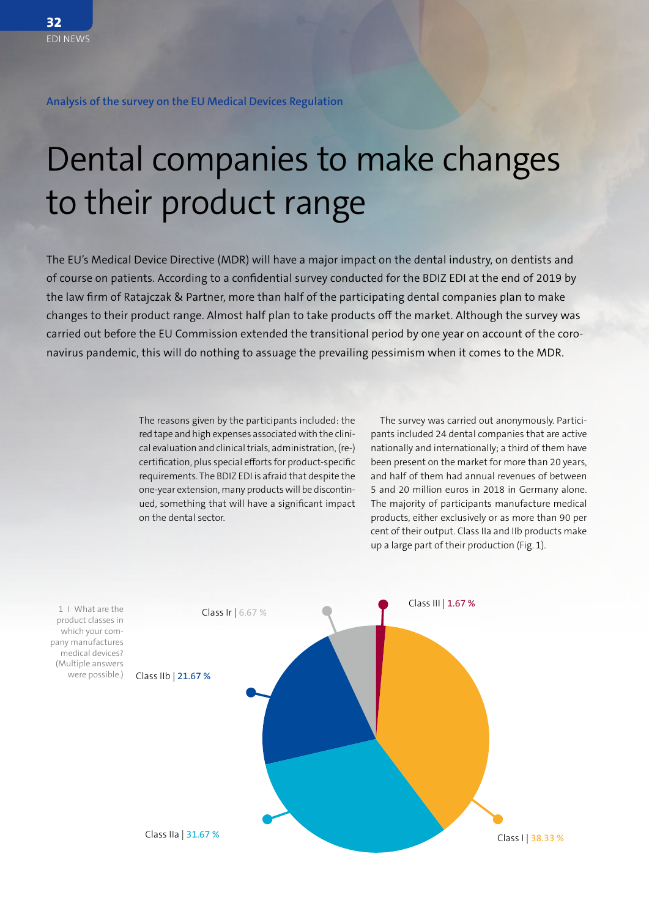**Analysis of the survey on the EU Medical Devices Regulation**

## Dental companies to make changes to their product range

The EU's Medical Device Directive (MDR) will have a major impact on the dental industry, on dentists and of course on patients. According to a confidential survey conducted for the BDIZ EDI at the end of 2019 by the law firm of Ratajczak & Partner, more than half of the participating dental companies plan to make changes to their product range. Almost half plan to take products off the market. Although the survey was carried out before the EU Commission extended the transitional period by one year on account of the coronavirus pandemic, this will do nothing to assuage the prevailing pessimism when it comes to the MDR.

> The reasons given by the participants included: the red tape and high expenses associated with the clinical evaluation and clinical trials, administration, (re-) certification, plus special efforts for product-specific requirements. The BDIZ EDI is afraid that despite the one-year extension, many products will be discontinued, something that will have a significant impact on the dental sector.

The survey was carried out anonymously. Participants included 24 dental companies that are active nationally and internationally; a third of them have been present on the market for more than 20 years, and half of them had annual revenues of between 5 and 20 million euros in 2018 in Germany alone. The majority of participants manufacture medical products, either exclusively or as more than 90 per cent of their output. Class IIa and IIb products make up a large part of their production (Fig. 1).